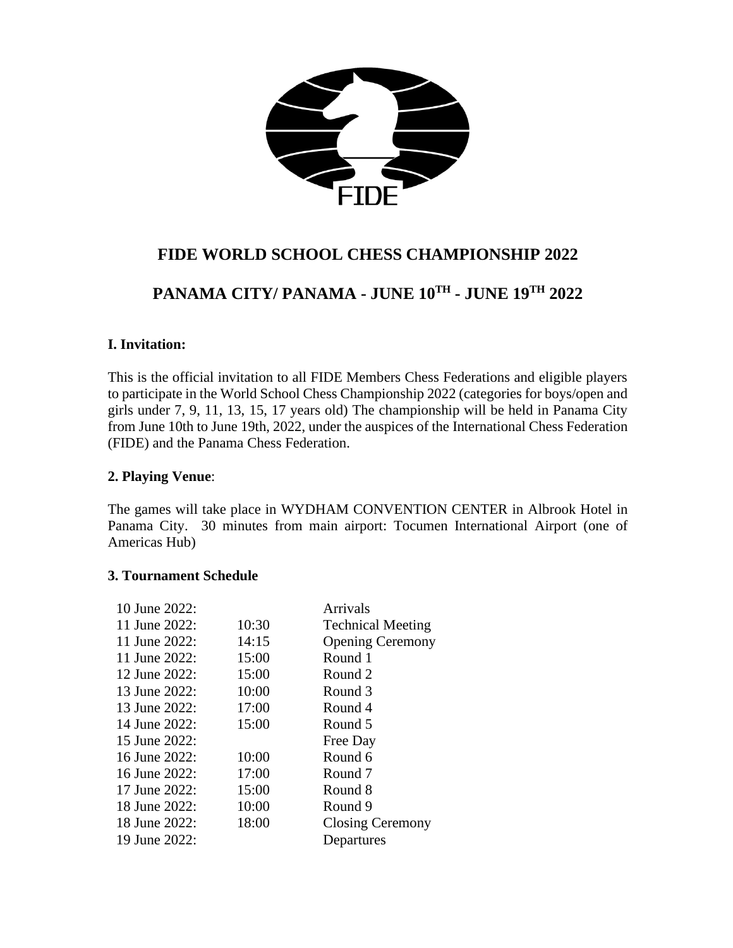

# **FIDE WORLD SCHOOL CHESS CHAMPIONSHIP 2022**

# **PANAMA CITY/ PANAMA - JUNE 10TH - JUNE 19 TH 2022**

#### **I. Invitation:**

This is the official invitation to all FIDE Members Chess Federations and eligible players to participate in the World School Chess Championship 2022 (categories for boys/open and girls under 7, 9, 11, 13, 15, 17 years old) The championship will be held in Panama City from June 10th to June 19th, 2022, under the auspices of the International Chess Federation (FIDE) and the Panama Chess Federation.

#### **2. Playing Venue**:

The games will take place in WYDHAM CONVENTION CENTER in Albrook Hotel in Panama City. 30 minutes from main airport: Tocumen International Airport (one of Americas Hub)

#### **3. Tournament Schedule**

| 10 June 2022:    |       | Arrivals                 |
|------------------|-------|--------------------------|
| 11 June 2022:    | 10:30 | <b>Technical Meeting</b> |
| 11 June 2022:    | 14:15 | <b>Opening Ceremony</b>  |
| 11 June 2022:    | 15:00 | Round 1                  |
| 12 June 2022:    | 15:00 | Round 2                  |
| 13 June 2022:    | 10:00 | Round 3                  |
| 13 June $2022$ : | 17:00 | Round 4                  |
| 14 June 2022:    | 15:00 | Round 5                  |
| 15 June $2022$ : |       | Free Day                 |
| 16 June $2022$ : | 10:00 | Round 6                  |
| 16 June 2022:    | 17:00 | Round 7                  |
| 17 June 2022:    | 15:00 | Round 8                  |
| 18 June 2022:    | 10:00 | Round 9                  |
| 18 June 2022:    | 18:00 | <b>Closing Ceremony</b>  |
| 19 June 2022:    |       | Departures               |
|                  |       |                          |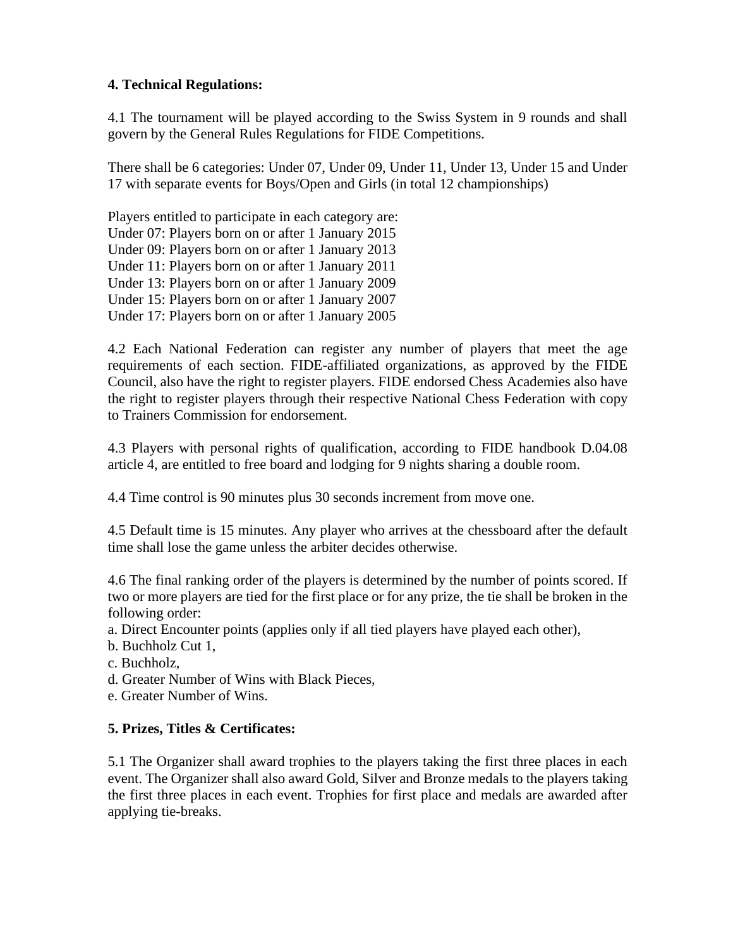#### **4. Technical Regulations:**

4.1 The tournament will be played according to the Swiss System in 9 rounds and shall govern by the General Rules Regulations for FIDE Competitions.

There shall be 6 categories: Under 07, Under 09, Under 11, Under 13, Under 15 and Under 17 with separate events for Boys/Open and Girls (in total 12 championships)

Players entitled to participate in each category are: Under 07: Players born on or after 1 January 2015 Under 09: Players born on or after 1 January 2013 Under 11: Players born on or after 1 January 2011 Under 13: Players born on or after 1 January 2009 Under 15: Players born on or after 1 January 2007 Under 17: Players born on or after 1 January 2005

4.2 Each National Federation can register any number of players that meet the age requirements of each section. FIDE-affiliated organizations, as approved by the FIDE Council, also have the right to register players. FIDE endorsed Chess Academies also have the right to register players through their respective National Chess Federation with copy to Trainers Commission for endorsement.

4.3 Players with personal rights of qualification, according to FIDE handbook D.04.08 article 4, are entitled to free board and lodging for 9 nights sharing a double room.

4.4 Time control is 90 minutes plus 30 seconds increment from move one.

4.5 Default time is 15 minutes. Any player who arrives at the chessboard after the default time shall lose the game unless the arbiter decides otherwise.

4.6 The final ranking order of the players is determined by the number of points scored. If two or more players are tied for the first place or for any prize, the tie shall be broken in the following order:

a. Direct Encounter points (applies only if all tied players have played each other),

b. Buchholz Cut 1,

- c. Buchholz,
- d. Greater Number of Wins with Black Pieces,

e. Greater Number of Wins.

#### **5. Prizes, Titles & Certificates:**

5.1 The Organizer shall award trophies to the players taking the first three places in each event. The Organizer shall also award Gold, Silver and Bronze medals to the players taking the first three places in each event. Trophies for first place and medals are awarded after applying tie-breaks.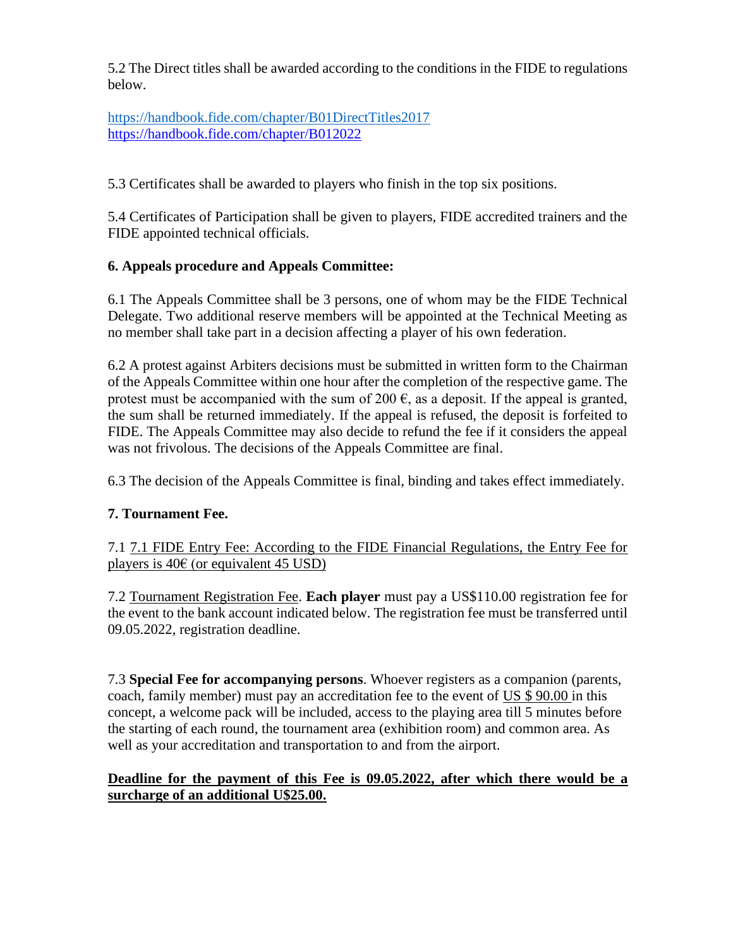5.2 The Direct titles shall be awarded according to the conditions in the FIDE to regulations below.

[https://handbook.fide.com/chapter/B01DirectTitles2017](https://nam12.safelinks.protection.outlook.com/?url=https%3A%2F%2Fhandbook.fide.com%2Fchapter%2FB01DirectTitles2017&data=04%7C01%7C%7C3a3f58be904b4c89c68908da02a3973f%7C84df9e7fe9f640afb435aaaaaaaaaaaa%7C1%7C0%7C637825199207787872%7CUnknown%7CTWFpbGZsb3d8eyJWIjoiMC4wLjAwMDAiLCJQIjoiV2luMzIiLCJBTiI6Ik1haWwiLCJXVCI6Mn0%3D%7C3000&sdata=pouCZWtWNL8%2FukPNZSkdSPKtRmiN3Wt0x6woZoDEttY%3D&reserved=0) <https://handbook.fide.com/chapter/B012022>

5.3 Certificates shall be awarded to players who finish in the top six positions.

5.4 Certificates of Participation shall be given to players, FIDE accredited trainers and the FIDE appointed technical officials.

## **6. Appeals procedure and Appeals Committee:**

6.1 The Appeals Committee shall be 3 persons, one of whom may be the FIDE Technical Delegate. Two additional reserve members will be appointed at the Technical Meeting as no member shall take part in a decision affecting a player of his own federation.

6.2 A protest against Arbiters decisions must be submitted in written form to the Chairman of the Appeals Committee within one hour after the completion of the respective game. The protest must be accompanied with the sum of 200  $\epsilon$ , as a deposit. If the appeal is granted, the sum shall be returned immediately. If the appeal is refused, the deposit is forfeited to FIDE. The Appeals Committee may also decide to refund the fee if it considers the appeal was not frivolous. The decisions of the Appeals Committee are final.

6.3 The decision of the Appeals Committee is final, binding and takes effect immediately.

# **7. Tournament Fee.**

7.1 7.1 FIDE Entry Fee: According to the FIDE Financial Regulations, the Entry Fee for players is  $40 \in (or$  equivalent  $45$  USD)

7.2 Tournament Registration Fee. **Each player** must pay a US\$110.00 registration fee for the event to the bank account indicated below. The registration fee must be transferred until 09.05.2022, registration deadline.

7.3 **Special Fee for accompanying persons**. Whoever registers as a companion (parents, coach, family member) must pay an accreditation fee to the event of US \$ 90.00 in this concept, a welcome pack will be included, access to the playing area till 5 minutes before the starting of each round, the tournament area (exhibition room) and common area. As well as your accreditation and transportation to and from the airport.

### **Deadline for the payment of this Fee is 09.05.2022, after which there would be a surcharge of an additional U\$25.00.**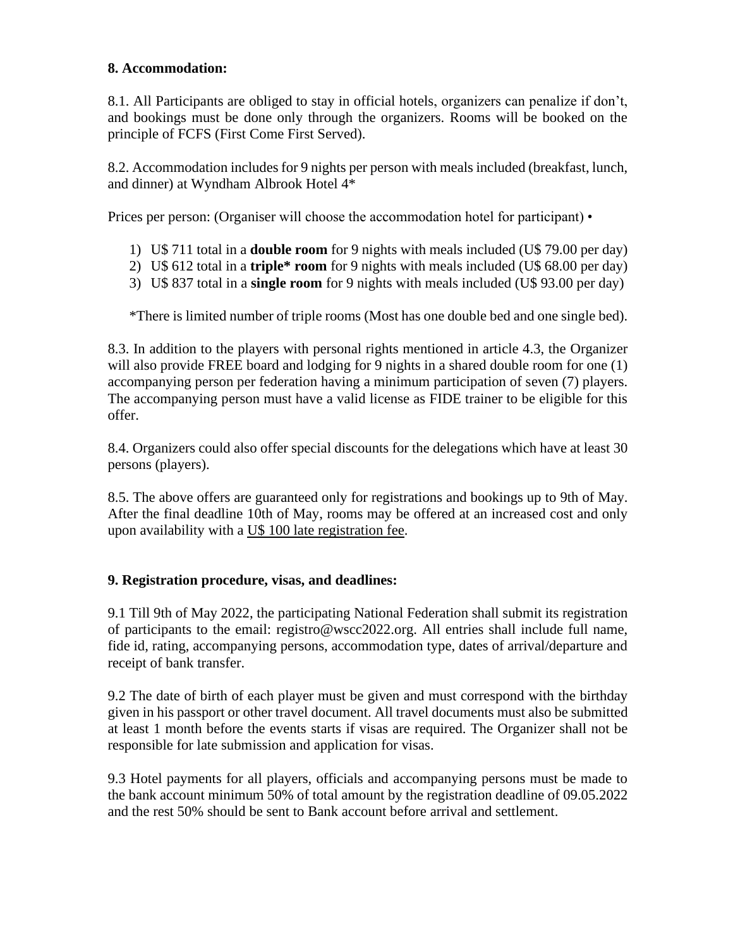#### **8. Accommodation:**

8.1. All Participants are obliged to stay in official hotels, organizers can penalize if don't, and bookings must be done only through the organizers. Rooms will be booked on the principle of FCFS (First Come First Served).

8.2. Accommodation includes for 9 nights per person with meals included (breakfast, lunch, and dinner) at Wyndham Albrook Hotel 4\*

Prices per person: (Organiser will choose the accommodation hotel for participant) •

- 1) U\$ 711 total in a **double room** for 9 nights with meals included (U\$ 79.00 per day)
- 2) U\$ 612 total in a **triple\* room** for 9 nights with meals included (U\$ 68.00 per day)
- 3) U\$ 837 total in a **single room** for 9 nights with meals included (U\$ 93.00 per day)

\*There is limited number of triple rooms (Most has one double bed and one single bed).

8.3. In addition to the players with personal rights mentioned in article 4.3, the Organizer will also provide FREE board and lodging for 9 nights in a shared double room for one (1) accompanying person per federation having a minimum participation of seven (7) players. The accompanying person must have a valid license as FIDE trainer to be eligible for this offer.

8.4. Organizers could also offer special discounts for the delegations which have at least 30 persons (players).

8.5. The above offers are guaranteed only for registrations and bookings up to 9th of May. After the final deadline 10th of May, rooms may be offered at an increased cost and only upon availability with a U\$ 100 late registration fee.

#### **9. Registration procedure, visas, and deadlines:**

9.1 Till 9th of May 2022, the participating National Federation shall submit its registration of participants to the email: registro@wscc2022.org. All entries shall include full name, fide id, rating, accompanying persons, accommodation type, dates of arrival/departure and receipt of bank transfer.

9.2 The date of birth of each player must be given and must correspond with the birthday given in his passport or other travel document. All travel documents must also be submitted at least 1 month before the events starts if visas are required. The Organizer shall not be responsible for late submission and application for visas.

9.3 Hotel payments for all players, officials and accompanying persons must be made to the bank account minimum 50% of total amount by the registration deadline of 09.05.2022 and the rest 50% should be sent to Bank account before arrival and settlement.